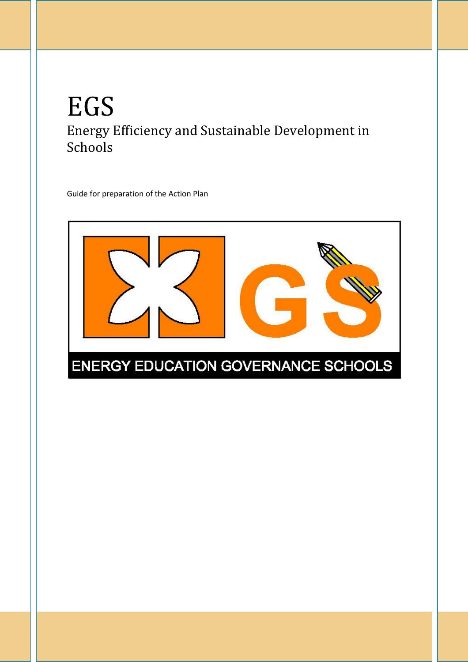# EGS Energy Efficiency and Sustainable Development in Schools

Guide for preparation of the Action Plan

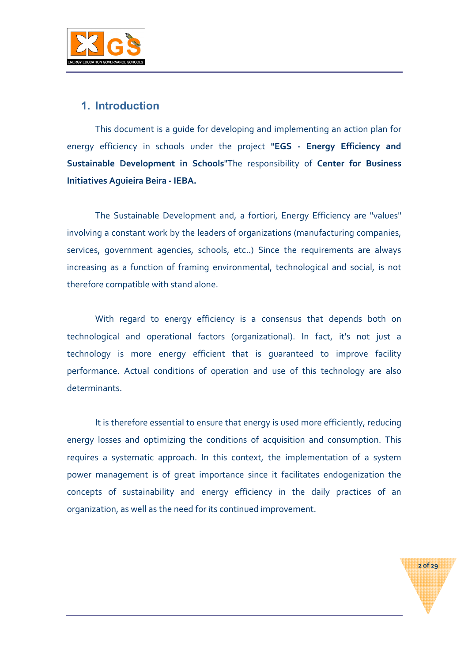

## 1. Introduction

This document is a guide for developing and implementing an action plan for energy efficiency in schools under the project "EGS - Energy Efficiency and Sustainable Development in Schools"The responsibility of Center for Business Initiatives Aguieira Beira - IEBA.

The Sustainable Development and, a fortiori, Energy Efficiency are "values" involving a constant work by the leaders of organizations (manufacturing companies, services, government agencies, schools, etc..) Since the requirements are always increasing as a function of framing environmental, technological and social, is not therefore compatible with stand alone.

With regard to energy efficiency is a consensus that depends both on technological and operational factors (organizational). In fact, it's not just a technology is more energy efficient that is guaranteed to improve facility performance. Actual conditions of operation and use of this technology are also determinants.

It is therefore essential to ensure that energy is used more efficiently, reducing energy losses and optimizing the conditions of acquisition and consumption. This requires a systematic approach. In this context, the implementation of a system power management is of great importance since it facilitates endogenization the concepts of sustainability and energy efficiency in the daily practices of an organization, as well as the need for its continued improvement.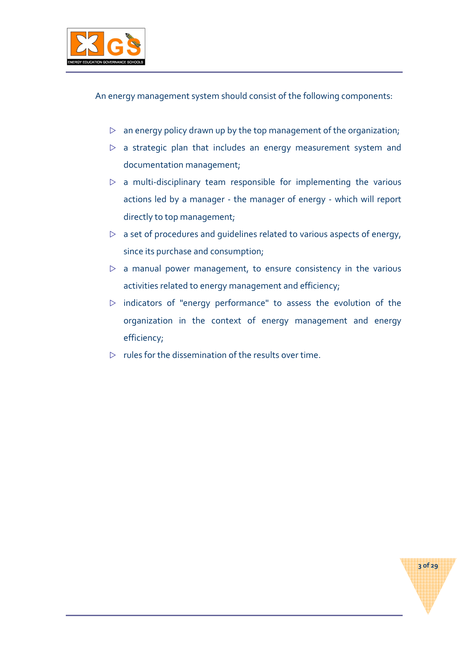

An energy management system should consist of the following components:

- $\triangleright$  an energy policy drawn up by the top management of the organization;
- $\triangleright$  a strategic plan that includes an energy measurement system and documentation management;
- $\triangleright$  a multi-disciplinary team responsible for implementing the various actions led by a manager - the manager of energy - which will report directly to top management;
- $\triangleright$  a set of procedures and guidelines related to various aspects of energy, since its purchase and consumption;
- $\triangleright$  a manual power management, to ensure consistency in the various activities related to energy management and efficiency;
- $\triangleright$  indicators of "energy performance" to assess the evolution of the organization in the context of energy management and energy efficiency;

3 of 29

 $\triangleright$  rules for the dissemination of the results over time.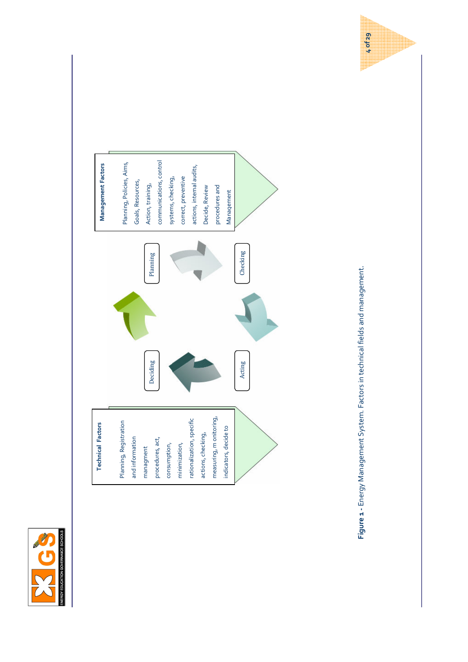



4 of 29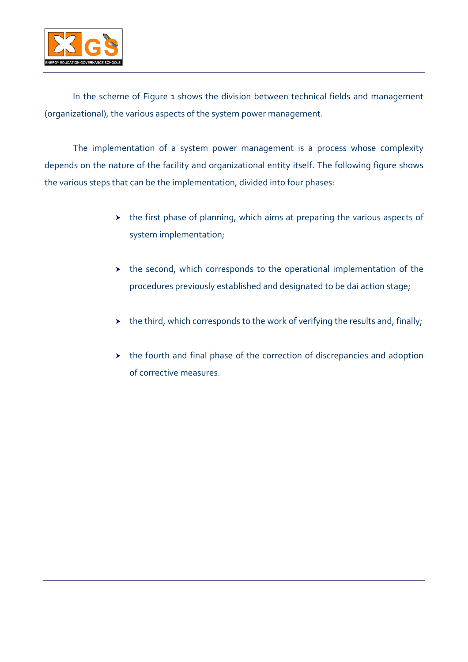

In the scheme of Figure 1 shows the division between technical fields and management (organizational), the various aspects of the system power management.

The implementation of a system power management is a process whose complexity depends on the nature of the facility and organizational entity itself. The following figure shows the various steps that can be the implementation, divided into four phases:

- the first phase of planning, which aims at preparing the various aspects of system implementation;
- $\rightarrow$  the second, which corresponds to the operational implementation of the procedures previously established and designated to be dai action stage;
- $\rightarrow$  the third, which corresponds to the work of verifying the results and, finally;
- $\rightarrow$  the fourth and final phase of the correction of discrepancies and adoption of corrective measures.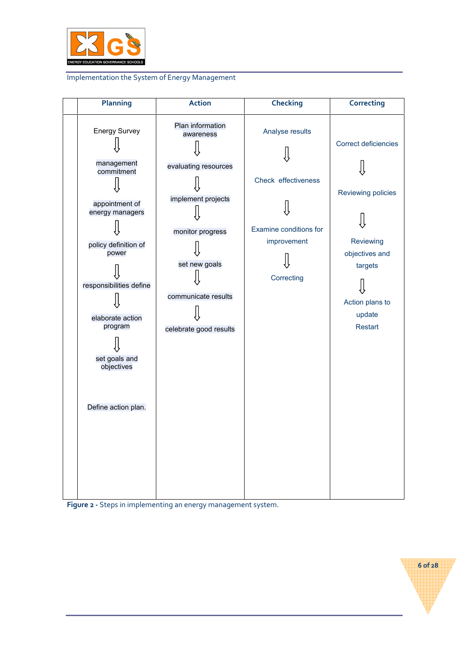

#### Implementation the System of Energy Management



Figure 2 - Steps in implementing an energy management system.

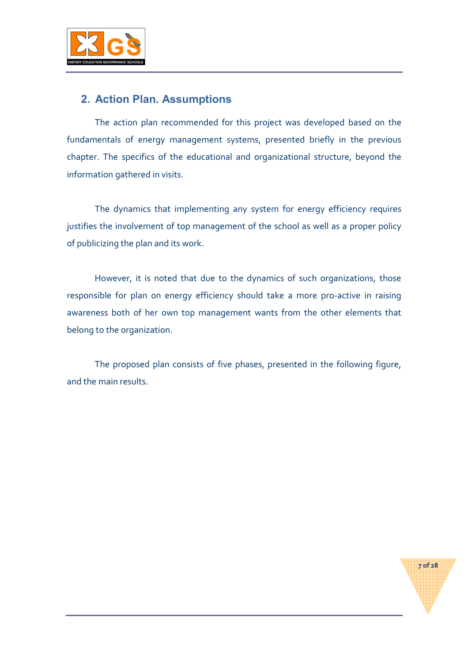

# 2. Action Plan. Assumptions

The action plan recommended for this project was developed based on the fundamentals of energy management systems, presented briefly in the previous chapter. The specifics of the educational and organizational structure, beyond the information gathered in visits.

The dynamics that implementing any system for energy efficiency requires justifies the involvement of top management of the school as well as a proper policy of publicizing the plan and its work.

However, it is noted that due to the dynamics of such organizations, those responsible for plan on energy efficiency should take a more pro-active in raising awareness both of her own top management wants from the other elements that belong to the organization.

The proposed plan consists of five phases, presented in the following figure, and the main results.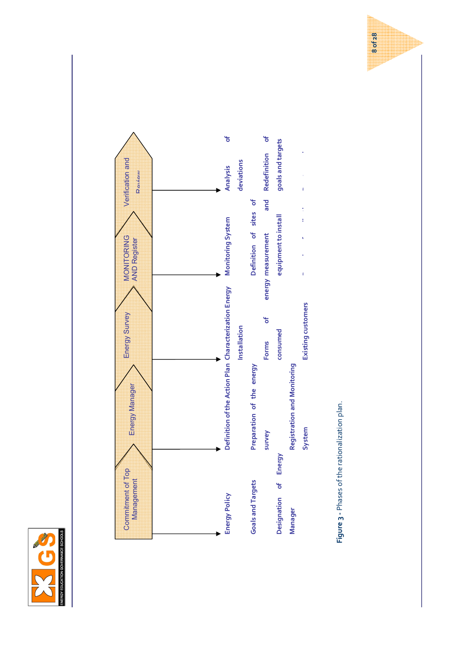



Figure 3 - Phases of the rationalization plan. Figure 3 - Phases of the rationalization plan.

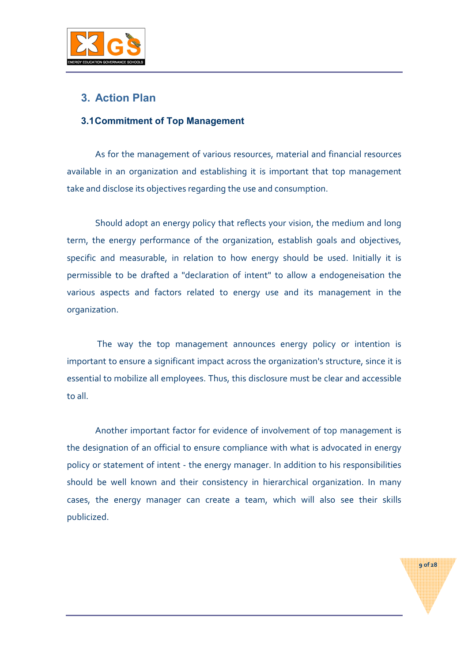

# 3. Action Plan

## 3.1 Commitment of Top Management

As for the management of various resources, material and financial resources available in an organization and establishing it is important that top management take and disclose its objectives regarding the use and consumption.

Should adopt an energy policy that reflects your vision, the medium and long term, the energy performance of the organization, establish goals and objectives, specific and measurable, in relation to how energy should be used. Initially it is permissible to be drafted a "declaration of intent" to allow a endogeneisation the various aspects and factors related to energy use and its management in the organization.

 The way the top management announces energy policy or intention is important to ensure a significant impact across the organization's structure, since it is essential to mobilize all employees. Thus, this disclosure must be clear and accessible to all.

Another important factor for evidence of involvement of top management is the designation of an official to ensure compliance with what is advocated in energy policy or statement of intent - the energy manager. In addition to his responsibilities should be well known and their consistency in hierarchical organization. In many cases, the energy manager can create a team, which will also see their skills publicized.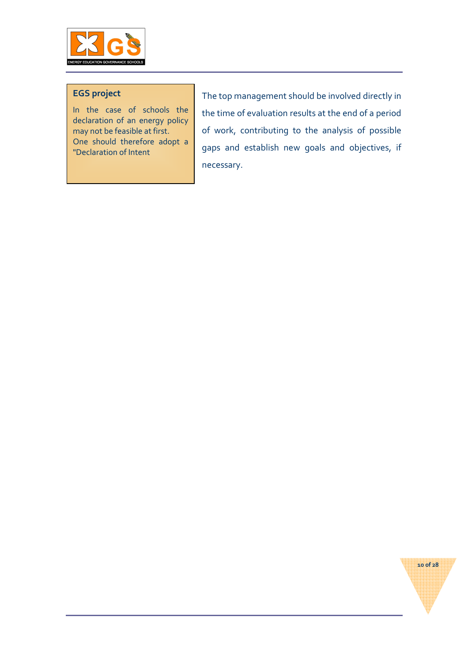

## EGS project

In the case of schools the declaration of an energy policy may not be feasible at first. One should therefore adopt a "Declaration of Intent

The top management should be involved directly in the time of evaluation results at the end of a period of work, contributing to the analysis of possible gaps and establish new goals and objectives, if necessary.

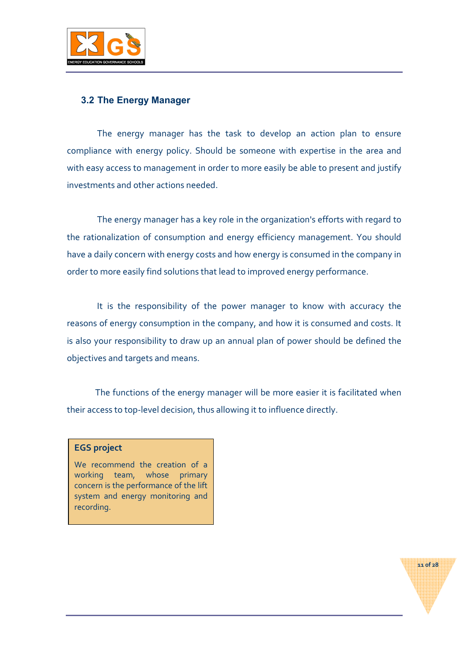

## 3.2 The Energy Manager

 The energy manager has the task to develop an action plan to ensure compliance with energy policy. Should be someone with expertise in the area and with easy access to management in order to more easily be able to present and justify investments and other actions needed.

 The energy manager has a key role in the organization's efforts with regard to the rationalization of consumption and energy efficiency management. You should have a daily concern with energy costs and how energy is consumed in the company in order to more easily find solutions that lead to improved energy performance.

 It is the responsibility of the power manager to know with accuracy the reasons of energy consumption in the company, and how it is consumed and costs. It is also your responsibility to draw up an annual plan of power should be defined the objectives and targets and means.

The functions of the energy manager will be more easier it is facilitated when their access to top-level decision, thus allowing it to influence directly.

#### EGS project

We recommend the creation of a working team, whose primary concern is the performance of the lift system and energy monitoring and recording.

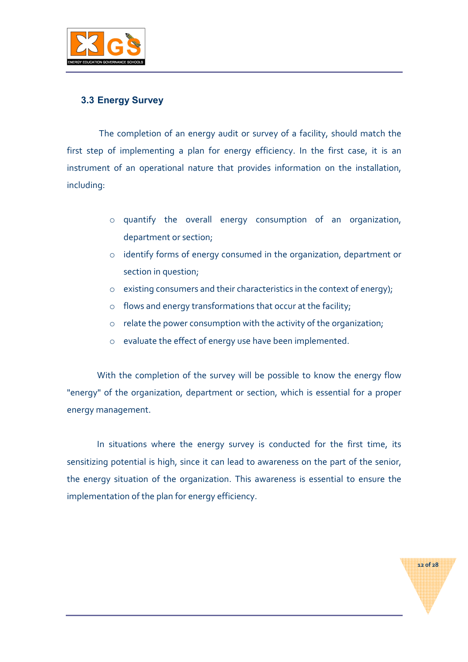

## 3.3 Energy Survey

 The completion of an energy audit or survey of a facility, should match the first step of implementing a plan for energy efficiency. In the first case, it is an instrument of an operational nature that provides information on the installation, including:

- o quantify the overall energy consumption of an organization, department or section;
- o identify forms of energy consumed in the organization, department or section in question;
- o existing consumers and their characteristics in the context of energy);
- o flows and energy transformations that occur at the facility;
- o relate the power consumption with the activity of the organization;
- o evaluate the effect of energy use have been implemented.

 With the completion of the survey will be possible to know the energy flow "energy" of the organization, department or section, which is essential for a proper energy management.

 In situations where the energy survey is conducted for the first time, its sensitizing potential is high, since it can lead to awareness on the part of the senior, the energy situation of the organization. This awareness is essential to ensure the implementation of the plan for energy efficiency.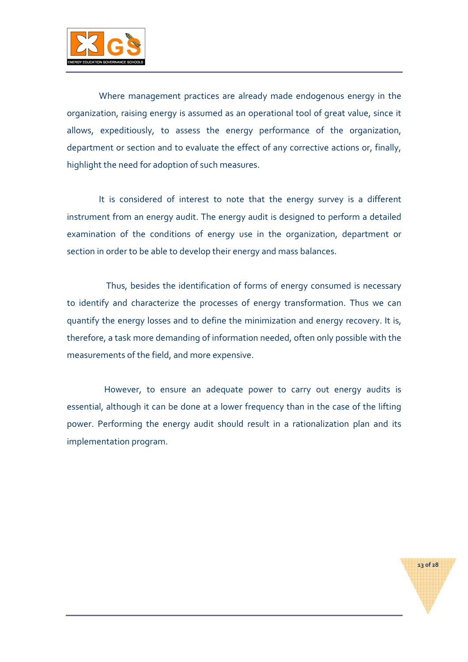

 Where management practices are already made endogenous energy in the organization, raising energy is assumed as an operational tool of great value, since it allows, expeditiously, to assess the energy performance of the organization, department or section and to evaluate the effect of any corrective actions or, finally, highlight the need for adoption of such measures.

 It is considered of interest to note that the energy survey is a different instrument from an energy audit. The energy audit is designed to perform a detailed examination of the conditions of energy use in the organization, department or section in order to be able to develop their energy and mass balances.

 Thus, besides the identification of forms of energy consumed is necessary to identify and characterize the processes of energy transformation. Thus we can quantify the energy losses and to define the minimization and energy recovery. It is, therefore, a task more demanding of information needed, often only possible with the measurements of the field, and more expensive.

 However, to ensure an adequate power to carry out energy audits is essential, although it can be done at a lower frequency than in the case of the lifting power. Performing the energy audit should result in a rationalization plan and its implementation program.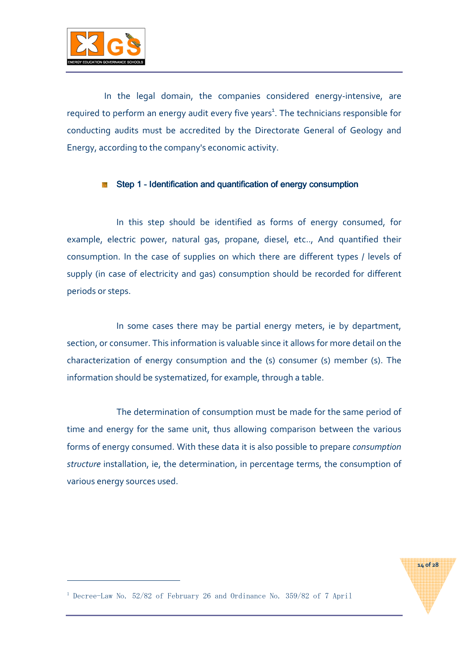

 In the legal domain, the companies considered energy-intensive, are required to perform an energy audit every five years<sup>1</sup>. The technicians responsible for conducting audits must be accredited by the Directorate General of Geology and Energy, according to the company's economic activity.

#### Step 1 - Identification and quantification of energy consumption

In this step should be identified as forms of energy consumed, for example, electric power, natural gas, propane, diesel, etc.., And quantified their consumption. In the case of supplies on which there are different types / levels of supply (in case of electricity and gas) consumption should be recorded for different periods or steps.

In some cases there may be partial energy meters, ie by department, section, or consumer. This information is valuable since it allows for more detail on the characterization of energy consumption and the (s) consumer (s) member (s). The information should be systematized, for example, through a table.

The determination of consumption must be made for the same period of time and energy for the same unit, thus allowing comparison between the various forms of energy consumed. With these data it is also possible to prepare consumption structure installation, ie, the determination, in percentage terms, the consumption of various energy sources used.

14 of 28

<sup>1</sup> Decree-Law No. 52/82 of February 26 and Ordinance No. 359/82 of 7 April

 $\overline{a}$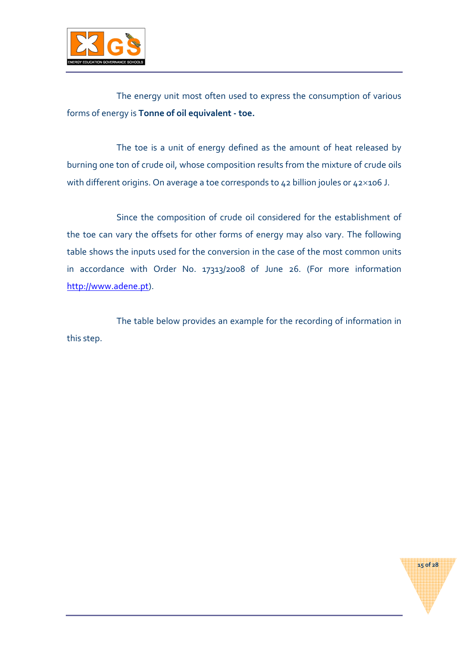

The energy unit most often used to express the consumption of various forms of energy is Tonne of oil equivalent - toe.

The toe is a unit of energy defined as the amount of heat released by burning one ton of crude oil, whose composition results from the mixture of crude oils with different origins. On average a toe corresponds to 42 billion joules or 42×106 J.

Since the composition of crude oil considered for the establishment of the toe can vary the offsets for other forms of energy may also vary. The following table shows the inputs used for the conversion in the case of the most common units in accordance with Order No. 17313/2008 of June 26. (For more information http://www.adene.pt).

The table below provides an example for the recording of information in this step.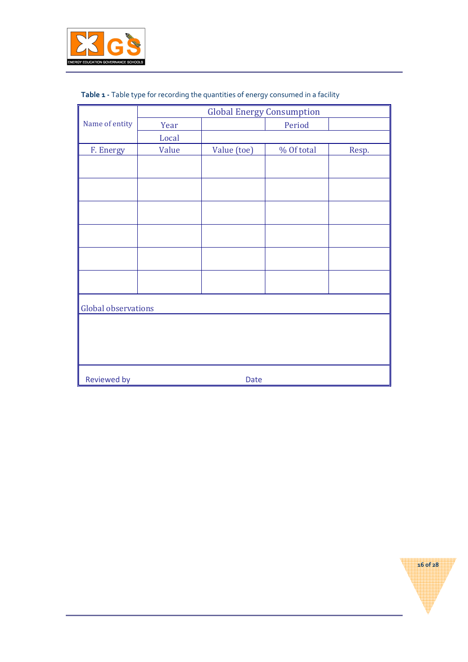

|  |  | Table 1 - Table type for recording the quantities of energy consumed in a facility |
|--|--|------------------------------------------------------------------------------------|
|  |  |                                                                                    |

|                            |             | <b>Global Energy Consumption</b> |            |       |  |  |  |
|----------------------------|-------------|----------------------------------|------------|-------|--|--|--|
| Name of entity             | Year        |                                  | Period     |       |  |  |  |
|                            | Local       |                                  |            |       |  |  |  |
| F. Energy                  | Value       | Value (toe)                      | % Of total | Resp. |  |  |  |
|                            |             |                                  |            |       |  |  |  |
|                            |             |                                  |            |       |  |  |  |
|                            |             |                                  |            |       |  |  |  |
|                            |             |                                  |            |       |  |  |  |
|                            |             |                                  |            |       |  |  |  |
|                            |             |                                  |            |       |  |  |  |
|                            |             |                                  |            |       |  |  |  |
|                            |             |                                  |            |       |  |  |  |
|                            |             |                                  |            |       |  |  |  |
|                            |             |                                  |            |       |  |  |  |
|                            |             |                                  |            |       |  |  |  |
| <b>Global observations</b> |             |                                  |            |       |  |  |  |
|                            |             |                                  |            |       |  |  |  |
|                            |             |                                  |            |       |  |  |  |
|                            |             |                                  |            |       |  |  |  |
|                            |             |                                  |            |       |  |  |  |
|                            |             |                                  |            |       |  |  |  |
| Reviewed by                | <b>Date</b> |                                  |            |       |  |  |  |

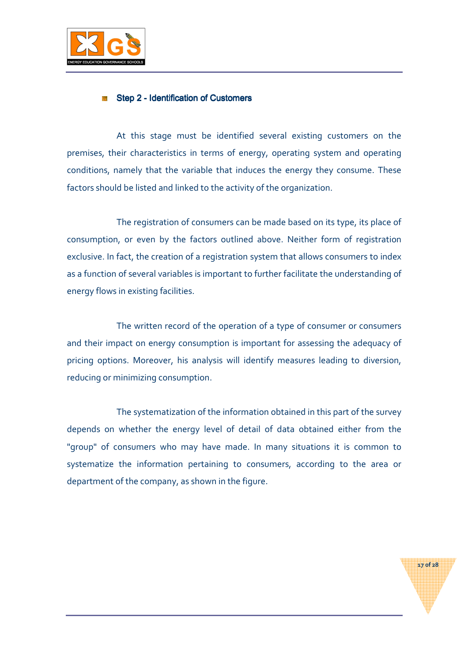

#### Step 2 - Identification of Customers

At this stage must be identified several existing customers on the premises, their characteristics in terms of energy, operating system and operating conditions, namely that the variable that induces the energy they consume. These factors should be listed and linked to the activity of the organization.

The registration of consumers can be made based on its type, its place of consumption, or even by the factors outlined above. Neither form of registration exclusive. In fact, the creation of a registration system that allows consumers to index as a function of several variables is important to further facilitate the understanding of energy flows in existing facilities.

The written record of the operation of a type of consumer or consumers and their impact on energy consumption is important for assessing the adequacy of pricing options. Moreover, his analysis will identify measures leading to diversion, reducing or minimizing consumption.

The systematization of the information obtained in this part of the survey depends on whether the energy level of detail of data obtained either from the "group" of consumers who may have made. In many situations it is common to systematize the information pertaining to consumers, according to the area or department of the company, as shown in the figure.

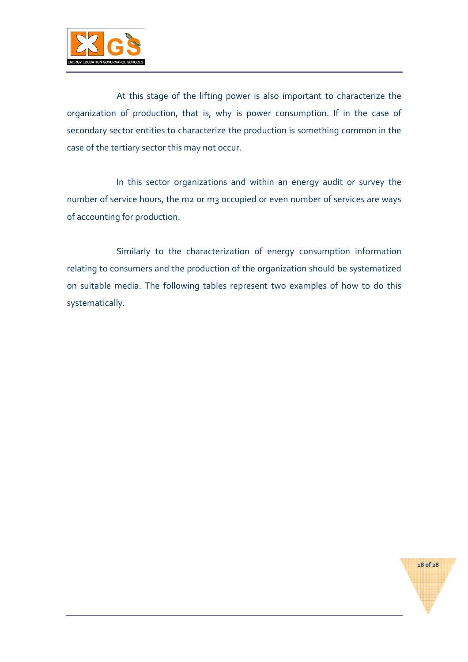

At this stage of the lifting power is also important to characterize the organization of production, that is, why is power consumption. If in the case of secondary sector entities to characterize the production is something common in the case of the tertiary sector this may not occur.

In this sector organizations and within an energy audit or survey the number of service hours, the m2 or m3 occupied or even number of services are ways of accounting for production.

Similarly to the characterization of energy consumption information relating to consumers and the production of the organization should be systematized on suitable media. The following tables represent two examples of how to do this systematically.

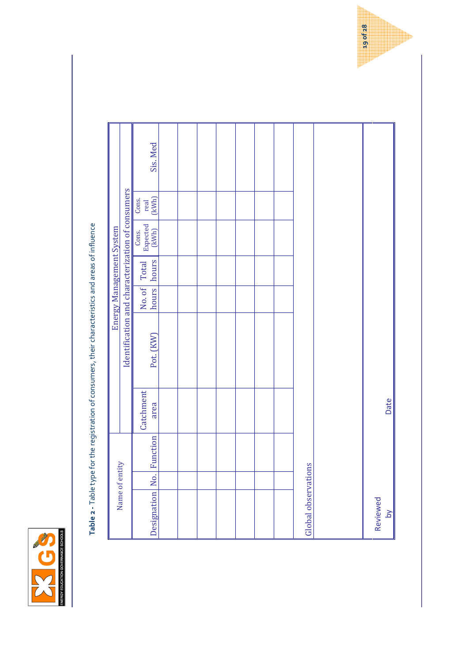

Table 2 - Table type for the registration of consumers, their characteristics and areas of influence Table 2 - Table type for the registration of consumers, their characteristics and areas of influence

|                            |     |          |                   |                                                  |       |                       | <b>Energy Management System</b> |                        |          |
|----------------------------|-----|----------|-------------------|--------------------------------------------------|-------|-----------------------|---------------------------------|------------------------|----------|
| Name of entity             |     |          |                   | Identification and characterization of consumers |       |                       |                                 |                        |          |
| Designation                | No. | Function | Catchment<br>area | Pot. (KW)                                        | hours | hours<br>No. of Total | Expected<br>(kWh)<br>Cons.      | (KWh)<br>Cons.<br>real | Sis. Med |
|                            |     |          |                   |                                                  |       |                       |                                 |                        |          |
|                            |     |          |                   |                                                  |       |                       |                                 |                        |          |
|                            |     |          |                   |                                                  |       |                       |                                 |                        |          |
|                            |     |          |                   |                                                  |       |                       |                                 |                        |          |
|                            |     |          |                   |                                                  |       |                       |                                 |                        |          |
|                            |     |          |                   |                                                  |       |                       |                                 |                        |          |
|                            |     |          |                   |                                                  |       |                       |                                 |                        |          |
| Global observations        |     |          |                   |                                                  |       |                       |                                 |                        |          |
|                            |     |          |                   |                                                  |       |                       |                                 |                        |          |
| Reviewed<br>$\overline{b}$ |     |          | Date              |                                                  |       |                       |                                 |                        |          |

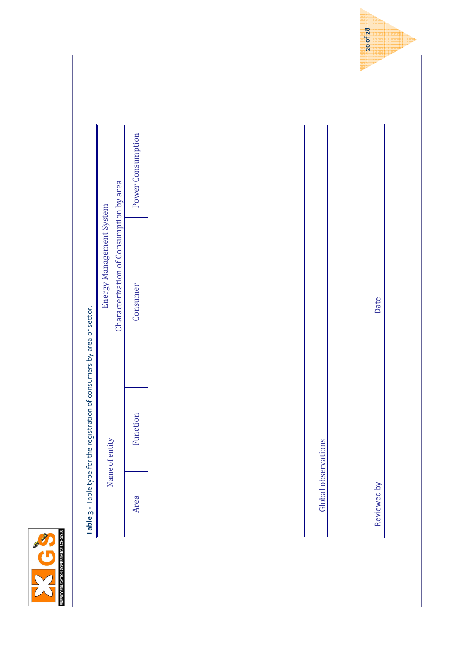

Table 3 - Table type for the registration of consumers by area or sector.  $-10<sup>1</sup>$ Ź ł  $\frac{4}{5}$ codictorian Table 2 - Table type for the

|                     | <b>THE STRAIG STRAIGHTS IS TO THE STRAIGHT OF THE STRAIGHT OF THE STRAIGHT OF THE STRAIGHT OF THE STRAIGHT OF THE STRAIGHT OF THE STRAIGHT OF THE STRAIGHT OF THE STRAIGHT OF THE STRAIGHT OF THE STRAIGHT OF THE STRAIGHT OF TH</b> |                                         |                   |
|---------------------|--------------------------------------------------------------------------------------------------------------------------------------------------------------------------------------------------------------------------------------|-----------------------------------------|-------------------|
|                     | Name of entity                                                                                                                                                                                                                       | Energy Management System                |                   |
|                     |                                                                                                                                                                                                                                      | Characterization of Consumption by area |                   |
| Area                | Function                                                                                                                                                                                                                             | Consumer                                | Power Consumption |
|                     |                                                                                                                                                                                                                                      |                                         |                   |
| Global observations |                                                                                                                                                                                                                                      |                                         |                   |
|                     |                                                                                                                                                                                                                                      |                                         |                   |
| Reviewed by         |                                                                                                                                                                                                                                      | Date                                    |                   |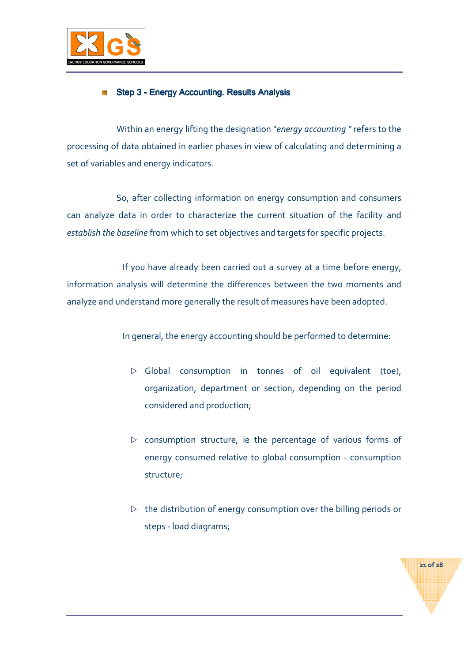

## Step 3 - Energy Accounting. Results Analysis

Within an energy lifting the designation "energy accounting " refers to the processing of data obtained in earlier phases in view of calculating and determining a set of variables and energy indicators.

So, after collecting information on energy consumption and consumers can analyze data in order to characterize the current situation of the facility and establish the baseline from which to set objectives and targets for specific projects.

 If you have already been carried out a survey at a time before energy, information analysis will determine the differences between the two moments and analyze and understand more generally the result of measures have been adopted.

In general, the energy accounting should be performed to determine:

- $\triangleright$  Global consumption in tonnes of oil equivalent (toe), organization, department or section, depending on the period considered and production;
- $\triangleright$  consumption structure, ie the percentage of various forms of energy consumed relative to global consumption - consumption structure;
- $\triangleright$  the distribution of energy consumption over the billing periods or steps - load diagrams;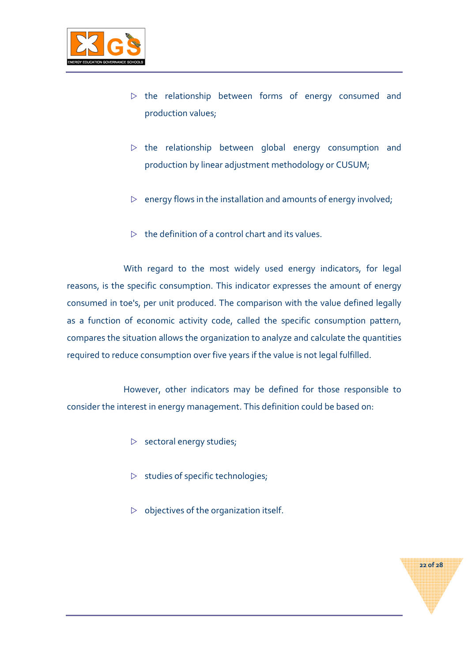

- $\triangleright$  the relationship between forms of energy consumed and production values;
- $\triangleright$  the relationship between global energy consumption and production by linear adjustment methodology or CUSUM;
- $\triangleright$  energy flows in the installation and amounts of energy involved;
- $\triangleright$  the definition of a control chart and its values.

With regard to the most widely used energy indicators, for legal reasons, is the specific consumption. This indicator expresses the amount of energy consumed in toe's, per unit produced. The comparison with the value defined legally as a function of economic activity code, called the specific consumption pattern, compares the situation allows the organization to analyze and calculate the quantities required to reduce consumption over five years if the value is not legal fulfilled.

However, other indicators may be defined for those responsible to consider the interest in energy management. This definition could be based on:

- $\triangleright$  sectoral energy studies;
- $\triangleright$  studies of specific technologies;
- $\triangleright$  objectives of the organization itself.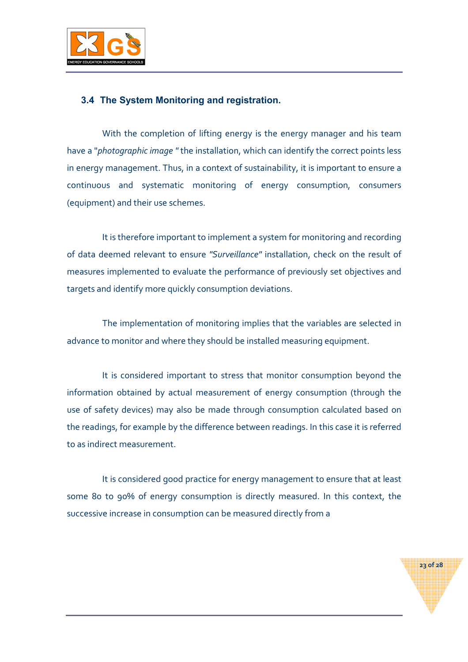

## 3.4 The System Monitoring and registration.

With the completion of lifting energy is the energy manager and his team have a "photographic image " the installation, which can identify the correct points less in energy management. Thus, in a context of sustainability, it is important to ensure a continuous and systematic monitoring of energy consumption, consumers (equipment) and their use schemes.

It is therefore important to implement a system for monitoring and recording of data deemed relevant to ensure "Surveillance" installation, check on the result of measures implemented to evaluate the performance of previously set objectives and targets and identify more quickly consumption deviations.

The implementation of monitoring implies that the variables are selected in advance to monitor and where they should be installed measuring equipment.

It is considered important to stress that monitor consumption beyond the information obtained by actual measurement of energy consumption (through the use of safety devices) may also be made through consumption calculated based on the readings, for example by the difference between readings. In this case it is referred to as indirect measurement.

It is considered good practice for energy management to ensure that at least some 80 to 90% of energy consumption is directly measured. In this context, the successive increase in consumption can be measured directly from a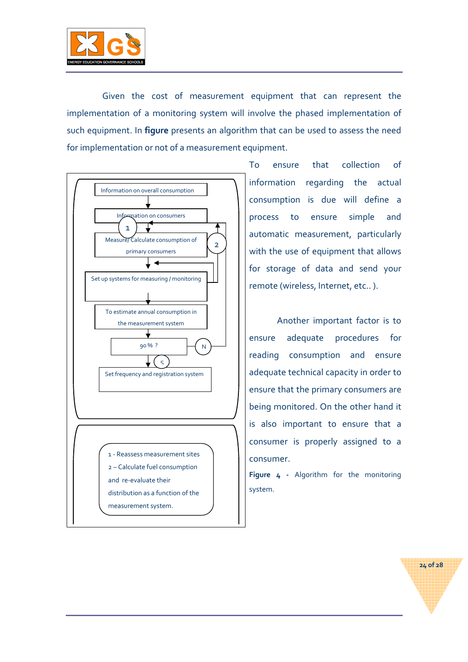

Given the cost of measurement equipment that can represent the implementation of a monitoring system will involve the phased implementation of such equipment. In figure presents an algorithm that can be used to assess the need for implementation or not of a measurement equipment.



To ensure that collection of information regarding the actual consumption is due will define a process to ensure simple and automatic measurement, particularly with the use of equipment that allows for storage of data and send your remote (wireless, Internet, etc.. ).

Another important factor is to ensure adequate procedures for reading consumption and ensure adequate technical capacity in order to ensure that the primary consumers are being monitored. On the other hand it is also important to ensure that a consumer is properly assigned to a consumer.

Figure 4 - Algorithm for the monitoring system.

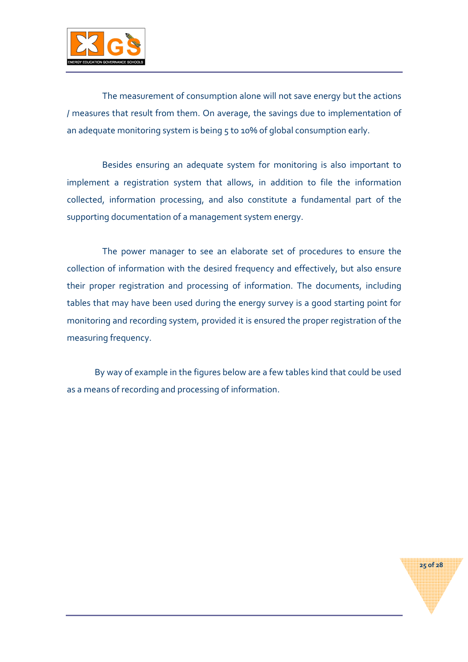

The measurement of consumption alone will not save energy but the actions / measures that result from them. On average, the savings due to implementation of an adequate monitoring system is being 5 to 10% of global consumption early.

Besides ensuring an adequate system for monitoring is also important to implement a registration system that allows, in addition to file the information collected, information processing, and also constitute a fundamental part of the supporting documentation of a management system energy.

The power manager to see an elaborate set of procedures to ensure the collection of information with the desired frequency and effectively, but also ensure their proper registration and processing of information. The documents, including tables that may have been used during the energy survey is a good starting point for monitoring and recording system, provided it is ensured the proper registration of the measuring frequency.

By way of example in the figures below are a few tables kind that could be used as a means of recording and processing of information.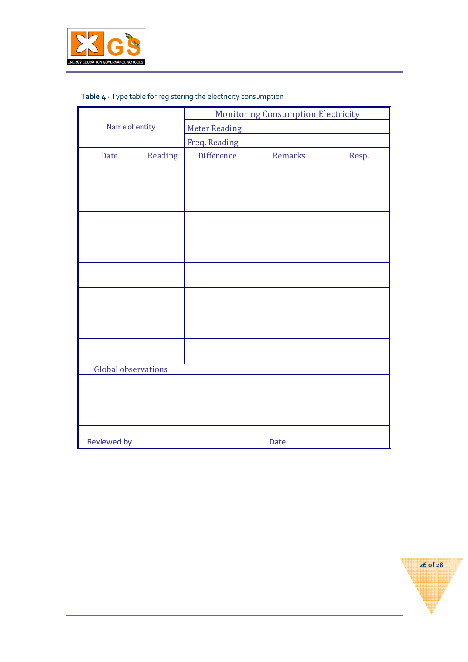

|  |  |  | Table 4 - Type table for registering the electricity consumption |
|--|--|--|------------------------------------------------------------------|
|--|--|--|------------------------------------------------------------------|

|                     |         |                      | <b>Monitoring Consumption Electricity</b> |       |
|---------------------|---------|----------------------|-------------------------------------------|-------|
| Name of entity      |         | <b>Meter Reading</b> |                                           |       |
|                     |         | Freq. Reading        |                                           |       |
| Date                | Reading | <b>Difference</b>    | Remarks                                   | Resp. |
|                     |         |                      |                                           |       |
|                     |         |                      |                                           |       |
|                     |         |                      |                                           |       |
|                     |         |                      |                                           |       |
|                     |         |                      |                                           |       |
|                     |         |                      |                                           |       |
|                     |         |                      |                                           |       |
|                     |         |                      |                                           |       |
|                     |         |                      |                                           |       |
|                     |         |                      |                                           |       |
|                     |         |                      |                                           |       |
|                     |         |                      |                                           |       |
|                     |         |                      |                                           |       |
|                     |         |                      |                                           |       |
|                     |         |                      |                                           |       |
| Global observations |         |                      |                                           |       |
|                     |         |                      |                                           |       |
|                     |         |                      |                                           |       |
|                     |         |                      |                                           |       |
|                     |         |                      |                                           |       |
| <b>Reviewed by</b>  |         |                      | <b>Date</b>                               |       |

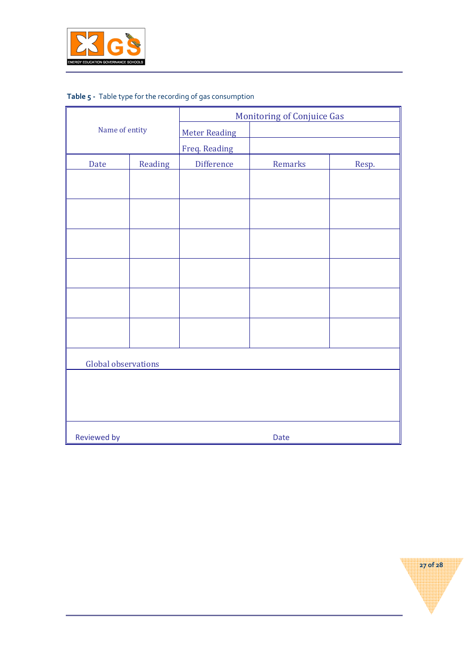

# Table 5 - Table type for the recording of gas consumption

|                            |         |                      | <b>Monitoring of Conjuice Gas</b> |       |  |
|----------------------------|---------|----------------------|-----------------------------------|-------|--|
| Name of entity             |         | <b>Meter Reading</b> |                                   |       |  |
|                            |         | Freq. Reading        |                                   |       |  |
| Date                       | Reading | Difference           | Remarks                           | Resp. |  |
|                            |         |                      |                                   |       |  |
|                            |         |                      |                                   |       |  |
|                            |         |                      |                                   |       |  |
|                            |         |                      |                                   |       |  |
|                            |         |                      |                                   |       |  |
|                            |         |                      |                                   |       |  |
|                            |         |                      |                                   |       |  |
|                            |         |                      |                                   |       |  |
|                            |         |                      |                                   |       |  |
|                            |         |                      |                                   |       |  |
|                            |         |                      |                                   |       |  |
|                            |         |                      |                                   |       |  |
| Global observations        |         |                      |                                   |       |  |
|                            |         |                      |                                   |       |  |
|                            |         |                      |                                   |       |  |
|                            |         |                      |                                   |       |  |
| <b>Reviewed by</b><br>Date |         |                      |                                   |       |  |